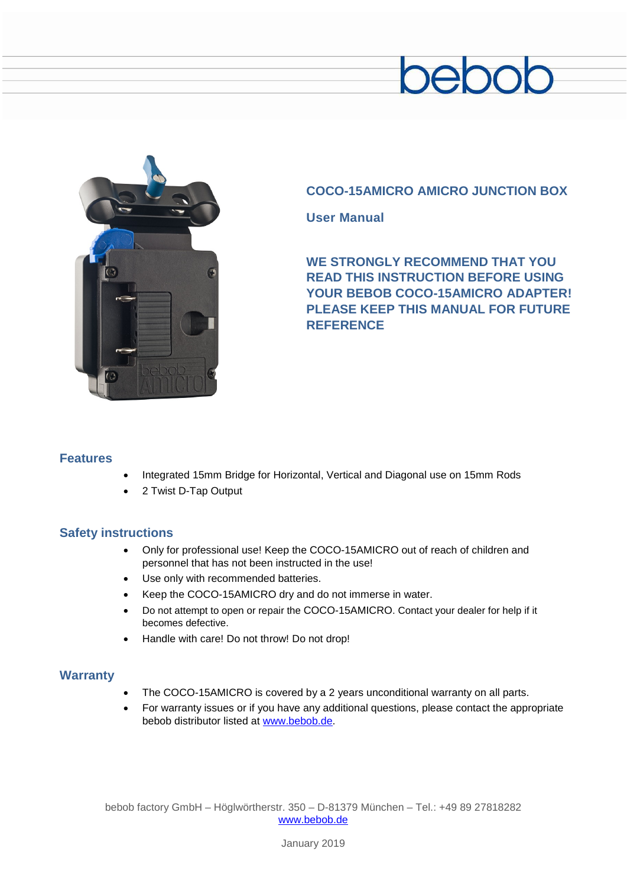# beboc



## **COCO-15AMICRO AMICRO JUNCTION BOX**

**User Manual**

**WE STRONGLY RECOMMEND THAT YOU READ THIS INSTRUCTION BEFORE USING YOUR BEBOB COCO-15AMICRO ADAPTER! PLEASE KEEP THIS MANUAL FOR FUTURE REFERENCE**

### **Features**

- Integrated 15mm Bridge for Horizontal, Vertical and Diagonal use on 15mm Rods
- 2 Twist D-Tap Output

#### **Safety instructions**

- Only for professional use! Keep the COCO-15AMICRO out of reach of children and personnel that has not been instructed in the use!
- Use only with recommended batteries.
- Keep the COCO-15AMICRO dry and do not immerse in water.
- Do not attempt to open or repair the COCO-15AMICRO. Contact your dealer for help if it becomes defective.
- Handle with care! Do not throw! Do not drop!

#### **Warranty**

- The COCO-15AMICRO is covered by a 2 years unconditional warranty on all parts.
- For warranty issues or if you have any additional questions, please contact the appropriate bebob distributor listed at [www.bebob.de.](http://www.bebob.de/)

bebob factory GmbH – Höglwörtherstr. 350 – D-81379 München – Tel.: +49 89 27818282 [www.bebob.de](http://www.bebob.de/)